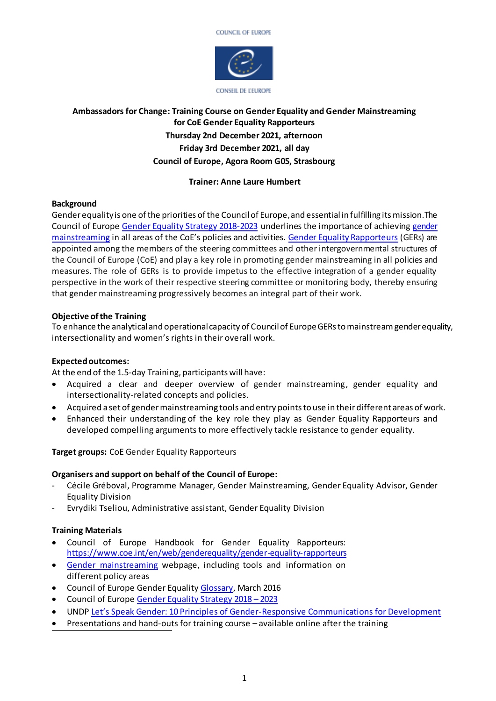

### **Ambassadors for Change: Training Course on Gender Equality and Gender Mainstreaming for CoE Gender Equality Rapporteurs Thursday 2nd December 2021, afternoon Friday 3rd December 2021, all day Council of Europe, Agora Room G05, Strasbourg**

#### **Trainer: Anne Laure Humbert**

#### **Background**

Gender equality is one of the priorities of the Council of Europe, and essential in fulfilling its mission. The Council of Europe [Gender Equality Strategy 2018-2023](https://rm.coe.int/prems-093618-gbr-gender-equality-strategy-2023-web-a5/16808b47e1) underlines the importance of achievin[g gender](https://www.coe.int/en/web/genderequality/gender-mainstreaming)  [mainstreaming](https://www.coe.int/en/web/genderequality/gender-mainstreaming) in all areas of the CoE's policies and activities. [Gender Equality Rapporteurs](https://www.coe.int/en/web/genderequality/gender-equality-rapporteurs) (GERs) are appointed among the members of the steering committees and other intergovernmental structures of the Council of Europe (CoE) and play a key role in promoting gender mainstreaming in all policies and measures. The role of GERs is to provide impetus to the effective integration of a gender equality perspective in the work of their respective steering committee or monitoring body, thereby ensuring that gender mainstreaming progressively becomes an integral part of their work.

#### **Objective of the Training**

To enhance the analytical and operational capacity of Council of EuropeGERs to mainstream gender equality, intersectionality and women's rights in their overall work.

#### **Expected outcomes:**

At the end of the 1.5-day Training, participants will have:

- Acquired a clear and deeper overview of gender mainstreaming, gender equality and intersectionality-related concepts and policies.
- Acquired a set of gendermainstreaming tools and entry pointsto use in theirdifferent areas of work.
- Enhanced their understanding of the key role they play as Gender Equality Rapporteurs and developed compelling arguments to more effectively tackle resistance to gender equality.

#### **Target groups:** CoE Gender Equality Rapporteurs

#### **Organisers and support on behalf of the Council of Europe:**

- Cécile Gréboval, Programme Manager, Gender Mainstreaming, Gender Equality Advisor, Gender Equality Division
- Evrydiki Tseliou, Administrative assistant, Gender Equality Division

#### **Training Materials**

- Council of Europe Handbook for Gender Equality Rapporteurs: https:/[/www.coe.int/en/web/genderequality/gender-equality-rapporteurs](http://www.coe.int/en/web/genderequality/gender-equality-rapporteurs)
- [Gender mainstreaming](https://www.coe.int/en/web/genderequality/gender-mainstreaming) webpage, including tools and information on different policy areas
- Council of Europe Gender Equalit[y Glossary](https://rm.coe.int/09000016805e55eb), March 2016
- Council of Europ[e Gender Equality Strategy 2018](https://rm.coe.int/strategy-en-2018-2023/16807b58eb)  2023
- UNDP Let's Speak Gender: 10 Principles of Gender[-Responsive Communications for Developme](https://www.undp.org/content/dam/rbec/docs/10%20principles%20of%20gender-responsive%20communications.pdf)nt
- Presentations and hand-outs for training course available online after the training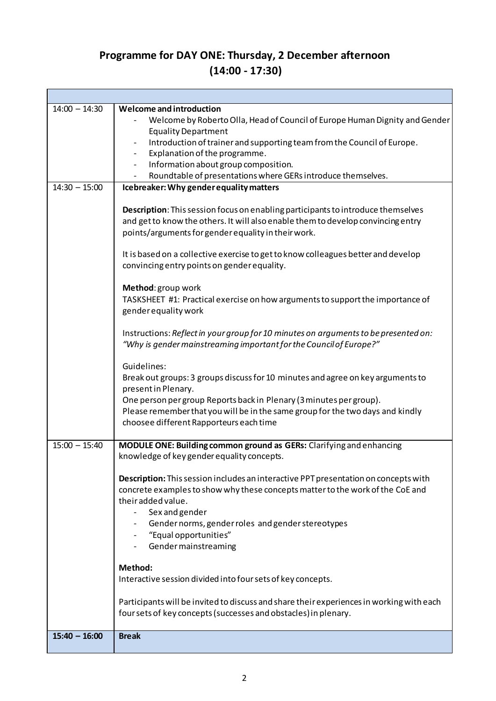## **Programme for DAY ONE: Thursday, 2 December afternoon (14:00 - 17:30)**

| $14:00 - 14:30$ | Welcome and introduction                                                                 |
|-----------------|------------------------------------------------------------------------------------------|
|                 | Welcome by Roberto Olla, Head of Council of Europe Human Dignity and Gender              |
|                 | <b>Equality Department</b>                                                               |
|                 | Introduction of trainer and supporting team from the Council of Europe.                  |
|                 | Explanation of the programme.                                                            |
|                 | Information about group composition.                                                     |
|                 | Roundtable of presentations where GERs introduce themselves.                             |
| $14:30 - 15:00$ | Icebreaker: Why gender equality matters                                                  |
|                 |                                                                                          |
|                 | <b>Description:</b> This session focus on enabling participants to introduce themselves  |
|                 | and get to know the others. It will also enable them to develop convincing entry         |
|                 | points/arguments for gender equality in their work.                                      |
|                 | It is based on a collective exercise to get to know colleagues better and develop        |
|                 | convincing entry points on gender equality.                                              |
|                 |                                                                                          |
|                 | Method: group work                                                                       |
|                 | TASKSHEET #1: Practical exercise on how arguments to support the importance of           |
|                 | gender equality work                                                                     |
|                 |                                                                                          |
|                 | Instructions: Reflect in your group for 10 minutes on arguments to be presented on:      |
|                 | "Why is gender mainstreaming important for the Council of Europe?"                       |
|                 |                                                                                          |
|                 | Guidelines:                                                                              |
|                 | Break out groups: 3 groups discuss for 10 minutes and agree on key arguments to          |
|                 | present in Plenary.                                                                      |
|                 | One person per group Reports back in Plenary (3 minutes per group).                      |
|                 | Please remember that you will be in the same group for the two days and kindly           |
|                 | choosee different Rapporteurs each time                                                  |
| $15:00 - 15:40$ | MODULE ONE: Building common ground as GERs: Clarifying and enhancing                     |
|                 | knowledge of key gender equality concepts.                                               |
|                 |                                                                                          |
|                 | Description: This session includes an interactive PPT presentation on concepts with      |
|                 | concrete examples to show why these concepts matter to the work of the CoE and           |
|                 | their added value.                                                                       |
|                 | Sex and gender                                                                           |
|                 | Gender norms, gender roles and gender stereotypes                                        |
|                 | "Equal opportunities"                                                                    |
|                 | Gender mainstreaming                                                                     |
|                 | Method:                                                                                  |
|                 |                                                                                          |
|                 | Interactive session divided into four sets of key concepts.                              |
|                 | Participants will be invited to discuss and share their experiences in working with each |
|                 | four sets of key concepts (successes and obstacles) in plenary.                          |
|                 |                                                                                          |
| $15:40 - 16:00$ | <b>Break</b>                                                                             |
|                 |                                                                                          |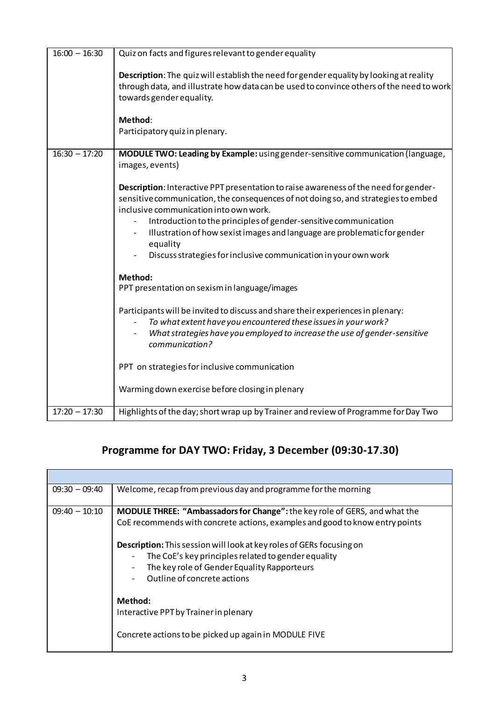| $16:00 - 16:30$ | Quiz on facts and figures relevant to gender equality                                                                                                                                                                                                                                                                                                                                                                                                |
|-----------------|------------------------------------------------------------------------------------------------------------------------------------------------------------------------------------------------------------------------------------------------------------------------------------------------------------------------------------------------------------------------------------------------------------------------------------------------------|
|                 | Description: The quiz will establish the need for gender equality by looking at reality<br>through data, and illustrate how data can be used to convince others of the need to work<br>towards gender equality.                                                                                                                                                                                                                                      |
|                 | Method:                                                                                                                                                                                                                                                                                                                                                                                                                                              |
|                 | Participatory quiz in plenary.                                                                                                                                                                                                                                                                                                                                                                                                                       |
| $16:30 - 17:20$ | MODULE TWO: Leading by Example: using gender-sensitive communication (language,<br>images, events)                                                                                                                                                                                                                                                                                                                                                   |
|                 | Description: Interactive PPT presentation to raise awareness of the need for gender-<br>sensitive communication, the consequences of not doing so, and strategies to embed<br>inclusive communication into own work.<br>Introduction to the principles of gender-sensitive communication<br>Illustration of how sexist images and language are problematic for gender<br>equality<br>Discuss strategies for inclusive communication in your own work |
|                 | Method:<br>PPT presentation on sexism in language/images                                                                                                                                                                                                                                                                                                                                                                                             |
|                 | Participants will be invited to discuss and share their experiences in plenary:<br>To what extent have you encountered these issues in your work?<br>What strategies have you employed to increase the use of gender-sensitive<br>communication?                                                                                                                                                                                                     |
|                 | PPT on strategies for inclusive communication                                                                                                                                                                                                                                                                                                                                                                                                        |
|                 | Warming down exercise before closing in plenary                                                                                                                                                                                                                                                                                                                                                                                                      |
| $17:20 - 17:30$ | Highlights of the day; short wrap up by Trainer and review of Programme for Day Two                                                                                                                                                                                                                                                                                                                                                                  |

# **Programme for DAY TWO: Friday, 3 December (09:30-17.30)**

| $09:30 - 09:40$ | Welcome, recap from previous day and programme for the morning                    |
|-----------------|-----------------------------------------------------------------------------------|
| $09:40 - 10:10$ | <b>MODULE THREE: "Ambassadors for Change":</b> the key role of GERS, and what the |
|                 | CoE recommends with concrete actions, examples and good to know entry points      |
|                 | <b>Description:</b> This session will look at key roles of GERs focusing on       |
|                 | The CoE's key principles related to gender equality                               |
|                 | The key role of Gender Equality Rapporteurs                                       |
|                 | Outline of concrete actions                                                       |
|                 | Method:                                                                           |
|                 | Interactive PPT by Trainer in plenary                                             |
|                 | Concrete actions to be picked up again in MODULE FIVE                             |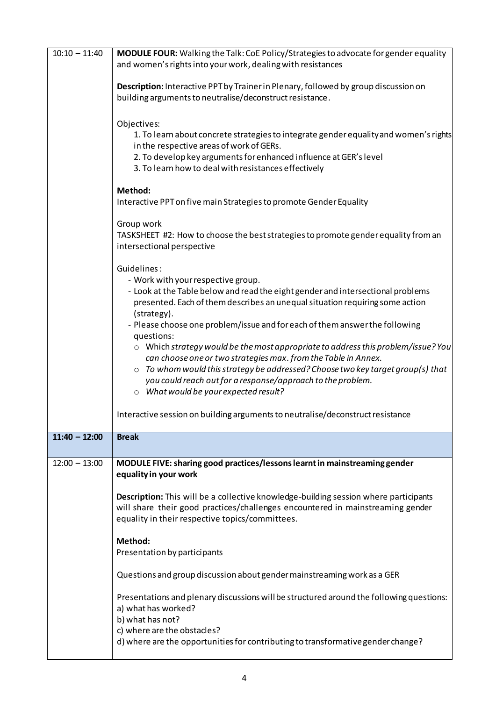| $10:10 - 11:40$ | MODULE FOUR: Walking the Talk: CoE Policy/Strategies to advocate for gender equality<br>and women's rights into your work, dealing with resistances                                                                                                                                                                                                                                                                                                     |
|-----------------|---------------------------------------------------------------------------------------------------------------------------------------------------------------------------------------------------------------------------------------------------------------------------------------------------------------------------------------------------------------------------------------------------------------------------------------------------------|
|                 | Description: Interactive PPT by Trainer in Plenary, followed by group discussion on<br>building arguments to neutralise/deconstruct resistance.                                                                                                                                                                                                                                                                                                         |
|                 | Objectives:<br>1. To learn about concrete strategies to integrate gender equality and women's rights<br>in the respective areas of work of GERs.<br>2. To develop key arguments for enhanced influence at GER's level<br>3. To learn how to deal with resistances effectively                                                                                                                                                                           |
|                 | Method:<br>Interactive PPT on five main Strategies to promote Gender Equality                                                                                                                                                                                                                                                                                                                                                                           |
|                 | Group work<br>TASKSHEET #2: How to choose the best strategies to promote gender equality from an<br>intersectional perspective                                                                                                                                                                                                                                                                                                                          |
|                 | Guidelines:<br>- Work with your respective group.<br>- Look at the Table below and read the eight gender and intersectional problems<br>presented. Each of them describes an unequal situation requiring some action<br>(strategy).                                                                                                                                                                                                                     |
|                 | - Please choose one problem/issue and for each of them answer the following<br>questions:<br>o Which strategy would be the most appropriate to address this problem/issue? You<br>can choose one or two strategies max. from the Table in Annex.<br>$\circ$ To whom would this strategy be addressed? Choose two key target group(s) that<br>you could reach out for a response/approach to the problem.<br>$\circ$ What would be your expected result? |
|                 | Interactive session on building arguments to neutralise/deconstruct resistance                                                                                                                                                                                                                                                                                                                                                                          |
| $11:40 - 12:00$ | <b>Break</b>                                                                                                                                                                                                                                                                                                                                                                                                                                            |
| $12:00 - 13:00$ | MODULE FIVE: sharing good practices/lessons learnt in mainstreaming gender<br>equality in your work                                                                                                                                                                                                                                                                                                                                                     |
|                 | Description: This will be a collective knowledge-building session where participants<br>will share their good practices/challenges encountered in mainstreaming gender<br>equality in their respective topics/committees.                                                                                                                                                                                                                               |
|                 | Method:<br>Presentation by participants                                                                                                                                                                                                                                                                                                                                                                                                                 |
|                 | Questions and group discussion about gender mainstreaming work as a GER                                                                                                                                                                                                                                                                                                                                                                                 |
|                 | Presentations and plenary discussions will be structured around the following questions:<br>a) what has worked?<br>b) what has not?<br>c) where are the obstacles?<br>d) where are the opportunities for contributing to transformative gender change?                                                                                                                                                                                                  |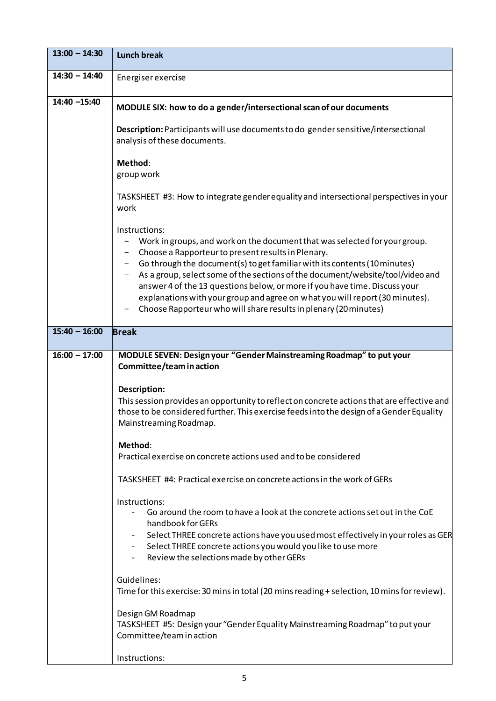| $13:00 - 14:30$ | <b>Lunch break</b>                                                                                                                                                                                                                                                                                                                                                                                                                                                                                                                                 |
|-----------------|----------------------------------------------------------------------------------------------------------------------------------------------------------------------------------------------------------------------------------------------------------------------------------------------------------------------------------------------------------------------------------------------------------------------------------------------------------------------------------------------------------------------------------------------------|
| $14:30 - 14:40$ | Energiser exercise                                                                                                                                                                                                                                                                                                                                                                                                                                                                                                                                 |
| $14:40 - 15:40$ | MODULE SIX: how to do a gender/intersectional scan of our documents                                                                                                                                                                                                                                                                                                                                                                                                                                                                                |
|                 | Description: Participants will use documents to do gender sensitive/intersectional<br>analysis of these documents.                                                                                                                                                                                                                                                                                                                                                                                                                                 |
|                 | Method:<br>group work                                                                                                                                                                                                                                                                                                                                                                                                                                                                                                                              |
|                 | TASKSHEET #3: How to integrate gender equality and intersectional perspectives in your<br>work                                                                                                                                                                                                                                                                                                                                                                                                                                                     |
|                 | Instructions:<br>Work in groups, and work on the document that was selected for your group.<br>Choose a Rapporteur to present results in Plenary.<br>Go through the document(s) to get familiar with its contents (10 minutes)<br>As a group, select some of the sections of the document/website/tool/video and<br>answer 4 of the 13 questions below, or more if you have time. Discuss your<br>explanations with your group and agree on what you will report (30 minutes).<br>Choose Rapporteur who will share results in plenary (20 minutes) |
| $15:40 - 16:00$ | <b>Break</b>                                                                                                                                                                                                                                                                                                                                                                                                                                                                                                                                       |
| $16:00 - 17:00$ | MODULE SEVEN: Design your "Gender Mainstreaming Roadmap" to put your<br>Committee/team in action                                                                                                                                                                                                                                                                                                                                                                                                                                                   |
|                 | Description:<br>This session provides an opportunity to reflect on concrete actions that are effective and<br>those to be considered further. This exercise feeds into the design of a Gender Equality<br>Mainstreaming Roadmap.                                                                                                                                                                                                                                                                                                                   |
|                 | Method:<br>Practical exercise on concrete actions used and to be considered                                                                                                                                                                                                                                                                                                                                                                                                                                                                        |
|                 | TASKSHEET #4: Practical exercise on concrete actions in the work of GERs                                                                                                                                                                                                                                                                                                                                                                                                                                                                           |
|                 | Instructions:<br>Go around the room to have a look at the concrete actions set out in the CoE<br>handbook for GERs<br>Select THREE concrete actions have you used most effectively in your roles as GER<br>Select THREE concrete actions you would you like to use more<br>Review the selections made by other GERs                                                                                                                                                                                                                                |
|                 | Guidelines:<br>Time for this exercise: 30 mins in total (20 mins reading + selection, 10 mins for review).                                                                                                                                                                                                                                                                                                                                                                                                                                         |
|                 | Design GM Roadmap<br>TASKSHEET #5: Design your "Gender Equality Mainstreaming Roadmap" to put your<br>Committee/team in action                                                                                                                                                                                                                                                                                                                                                                                                                     |
|                 | Instructions:                                                                                                                                                                                                                                                                                                                                                                                                                                                                                                                                      |